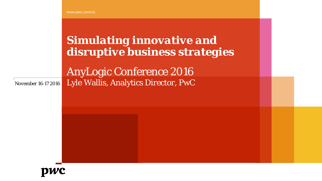www.pwc.com/us

*Simulating innovative and disruptive business strategies*

AnyLogic Conference 2016 Lyle Wallis, Analytics Director, PwC

*November 16-17 2016*

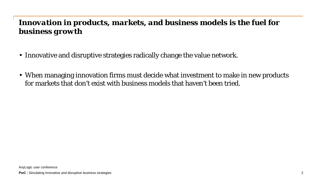# *Innovation in products, markets, and business models is the fuel for business growth*

- Innovative and disruptive strategies radically change the value network.
- When managing innovation firms must decide what investment to make in new products for markets that don't exist with business models that haven't been tried.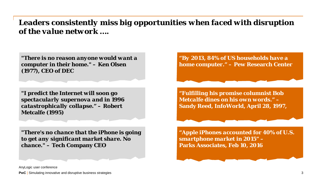### *Leaders consistently miss big opportunities when faced with disruption of the value network ….*

*"There is no reason anyone would want a computer in their home."* **– Ken Olsen (1977), CEO of DEC**

*"I predict the Internet will soon go spectacularly supernova and in 1996 catastrophically collapse."* **– Robert Metcalfe (1995)**

*"There's no chance that the iPhone is going to get any significant market share. No chance."* **– Tech Company CEO**

*"By 2013, 84% of US households have a home computer."* **– Pew Research Center**

*"Fulfilling his promise columnist Bob Metcalfe dines on his own words."* **– Sandy Reed, InfoWorld, April 28, 1997,**

*"Apple iPhones accounted for 40% of U.S. smartphone market in 2015"* **– Parks Associates, Feb 10, 2016**

AnyLogic user conference

**PwC** Simulating innovative and disruptive business strategies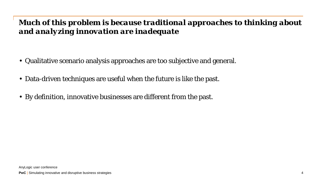# *Much of this problem is because traditional approaches to thinking about and analyzing innovation are inadequate*

- Qualitative scenario analysis approaches are too subjective and general.
- Data-driven techniques are useful when the future is like the past.
- By definition, innovative businesses are different from the past.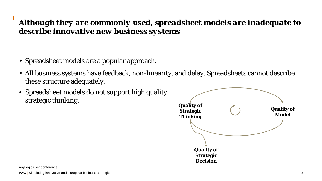# *Although they are commonly used, spreadsheet models are inadequate to describe innovative new business systems*

- Spreadsheet models are a popular approach.
- All business systems have feedback, non-linearity, and delay. Spreadsheets cannot describe these structure adequately.
- Spreadsheet models do not support high quality strategic thinking. **All all all the strategic thinking. Quality of**

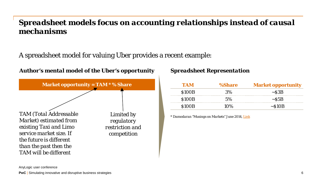## *Spreadsheet models focus on accounting relationships instead of causal mechanisms*

A spreadsheet model for valuing Uber provides a recent example:



### *Spreadsheet Representation*

| I AM         | %Share               | <b>Market opportunity</b> |
|--------------|----------------------|---------------------------|
| <b>S100B</b> | $\prec \nu_{\alpha}$ | $\sim$ S3R                |
| <b>S100B</b> | $5\%$                | $\sim$ S5B                |
| 8100B        | 10%                  | $\sim$ S10R               |

*\* Damodaran "Musings on Markets" June 2014, [Link](http://aswathdamodaran.blogspot.com/2014/06/a-disruptive-cab-ride-to-riches-uber.html)*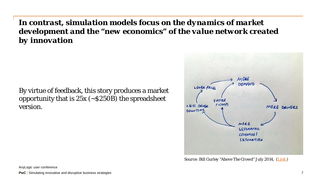*In contrast, simulation models focus on the dynamics of market development and the "new economics" of the value network created by innovation*

By virtue of feedback, this story produces a market opportunity that is  $25x$  ( $\sim$  \$250B) the spreadsheet version.



*Source: Bill Gurley "Above The Crowd" July 2014, [\(Link \)](http://abovethecrowd.com/2014/07/11/how-to-miss-by-a-mile-an-alternative-look-at-ubers-potential-market-size/)*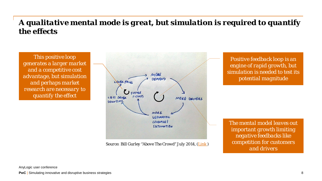## *A qualitative mental mode is great, but simulation is required to quantify the effects*

*This positive loop generates a larger market and a competitive cost advantage, but simulation and perhaps market research are necessary to quantify the effect*



*Source: Bill Gurley "Above The Crowd" July 2014, ([Link \)](http://abovethecrowd.com/2014/07/11/how-to-miss-by-a-mile-an-alternative-look-at-ubers-potential-market-size/)*

*Positive feedback loop is an engine of rapid growth, but simulation is needed to test its potential magnitude*

*The mental model leaves out important growth limiting negative feedbacks like competition for customers and drivers*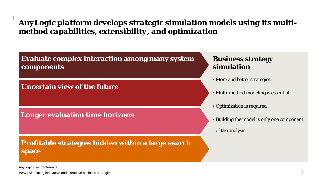### *AnyLogic platform develops strategic simulation models using its multimethod capabilities, extensibility, and optimization*



### **Uncertain view of the future**

### **Longer evaluation time horizons**

### **Profitable strategies hidden within a large search space**

### **Business strategy simulation**

- More and better strategies
- Multi-method modeling is essential
- Optimization is required
- Building the model is only one component
	- of the analysis

AnyLogic user conference

**PwC** Simulating innovative and disruptive business strategies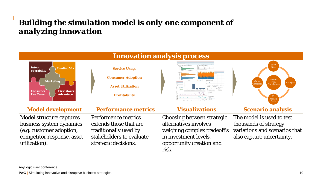# *Building the simulation model is only one component of analyzing innovation*



| The model is used to test<br>Model structure captures<br>Choosing between strategic<br><b>Performance metrics</b><br>alternatives involves<br>extends those that are                                                                                                                                         | <b>Model development</b> | <b>Performance metrics</b> | <b>Visualizations</b> | <b>Scenario analysis</b> |
|--------------------------------------------------------------------------------------------------------------------------------------------------------------------------------------------------------------------------------------------------------------------------------------------------------------|--------------------------|----------------------------|-----------------------|--------------------------|
| weighing complex tradeoff's variations and scenarios that<br>traditionally used by<br>(e.g. customer adoption,<br>stakeholders to evaluate<br>in investment levels,<br>also capture uncertainty.<br>competitor response, asset<br>utilization).<br>strategic decisions.<br>opportunity creation and<br>risk. | business system dynamics |                            |                       | thousands of strategy    |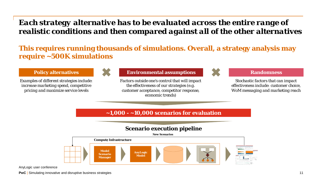## *Each strategy alternative has to be evaluated across the entire range of realistic conditions and then compared against all of the other alternatives*

### **This requires running thousands of simulations. Overall, a strategy analysis may require ~500K simulations**

*Examples of different strategies include: increase marketing spend, competitive pricing and maximize service levels*



### **Policy alternatives and assumptions Environmental assumptions Randomness**

*Factors outside one's control that will impact the effectiveness of our strategies (e.g. customer acceptance, competitor response, economic trends)*



*Stochastic factors that can impact effectiveness include: customer choice, WoM messaging and marketing reach*

### **~1,000 - ~10,000 scenarios for evaluation**

### **Scenario execution pipeline**



AnyLogic user conference

**PwC** Simulating innovative and disruptive business strategies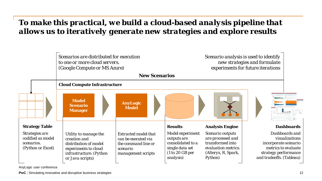## *To make this practical, we build a cloud-based analysis pipeline that allows us to iteratively generate new strategies and explore results*

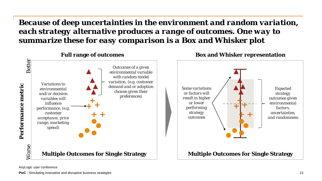*Because of deep uncertainties in the environment and random variation, each strategy alternative produces a range of outcomes. One way to summarize these for easy comparison is a Box and Whisker plot*

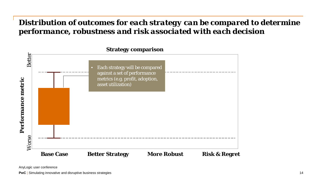## *Distribution of outcomes for each strategy can be compared to determine performance, robustness and risk associated with each decision*

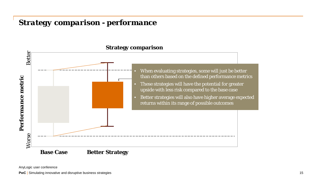### *Strategy comparison - performance*



AnyLogic user conference

**PwC** | Simulating innovative and disruptive business strategies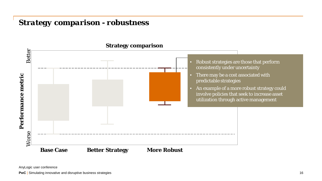### *Strategy comparison - robustness*

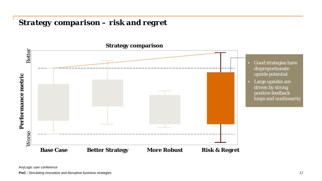### *Strategy comparison – risk and regret*

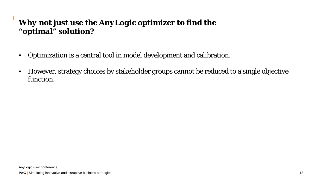# *Why not just use the AnyLogic optimizer to find the "optimal" solution?*

- Optimization is a central tool in model development and calibration.
- However, strategy choices by stakeholder groups cannot be reduced to a single objective function.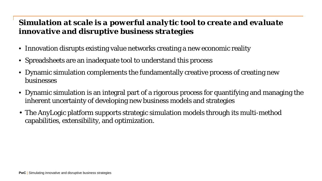## *Simulation at scale is a powerful analytic tool to create and evaluate innovative and disruptive business strategies*

- Innovation disrupts existing value networks creating a new economic reality
- Spreadsheets are an inadequate tool to understand this process
- Dynamic simulation complements the fundamentally creative process of creating new businesses
- Dynamic simulation is an integral part of a rigorous process for quantifying and managing the inherent uncertainty of developing new business models and strategies
- The AnyLogic platform supports strategic simulation models through its multi-method capabilities, extensibility, and optimization.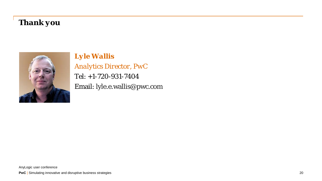# *Thank you*



*Lyle Wallis*

*Analytics Director, PwC*

Tel: +1-720-931-7404 Email: lyle.e.wallis@pwc.com